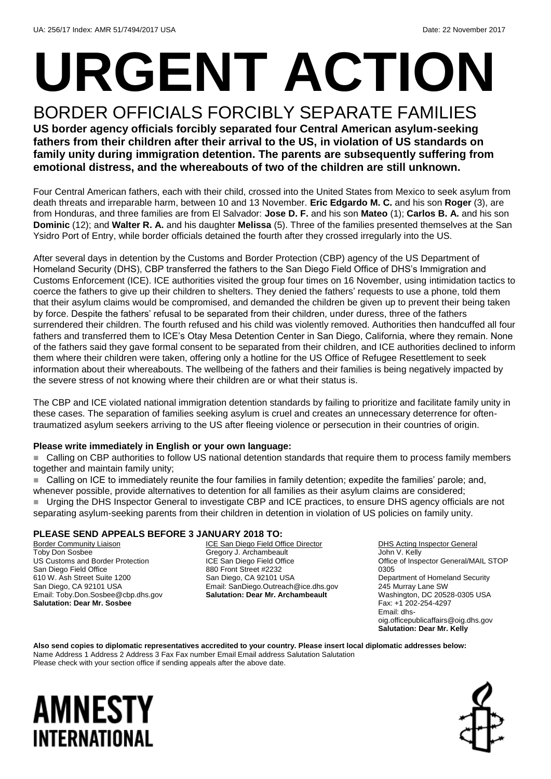# **URGENT ACTION**

#### BORDER OFFICIALS FORCIBLY SEPARATE FAMILIES **US border agency officials forcibly separated four Central American asylum-seeking fathers from their children after their arrival to the US, in violation of US standards on family unity during immigration detention. The parents are subsequently suffering from emotional distress, and the whereabouts of two of the children are still unknown.**

Four Central American fathers, each with their child, crossed into the United States from Mexico to seek asylum from death threats and irreparable harm, between 10 and 13 November. **Eric Edgardo M. C.** and his son **Roger** (3), are from Honduras, and three families are from El Salvador: **Jose D. F.** and his son **Mateo** (1); **Carlos B. A.** and his son **Dominic** (12); and **Walter R. A.** and his daughter **Melissa** (5). Three of the families presented themselves at the San Ysidro Port of Entry, while border officials detained the fourth after they crossed irregularly into the US.

After several days in detention by the Customs and Border Protection (CBP) agency of the US Department of Homeland Security (DHS), CBP transferred the fathers to the San Diego Field Office of DHS's Immigration and Customs Enforcement (ICE). ICE authorities visited the group four times on 16 November, using intimidation tactics to coerce the fathers to give up their children to shelters. They denied the fathers' requests to use a phone, told them that their asylum claims would be compromised, and demanded the children be given up to prevent their being taken by force. Despite the fathers' refusal to be separated from their children, under duress, three of the fathers surrendered their children. The fourth refused and his child was violently removed. Authorities then handcuffed all four fathers and transferred them to ICE's Otay Mesa Detention Center in San Diego, California, where they remain. None of the fathers said they gave formal consent to be separated from their children, and ICE authorities declined to inform them where their children were taken, offering only a hotline for the US Office of Refugee Resettlement to seek information about their whereabouts. The wellbeing of the fathers and their families is being negatively impacted by the severe stress of not knowing where their children are or what their status is.

The CBP and ICE violated national immigration detention standards by failing to prioritize and facilitate family unity in these cases. The separation of families seeking asylum is cruel and creates an unnecessary deterrence for oftentraumatized asylum seekers arriving to the US after fleeing violence or persecution in their countries of origin.

#### **Please write immediately in English or your own language:**

■ Calling on CBP authorities to follow US national detention standards that require them to process family members together and maintain family unity;

■ Calling on ICE to immediately reunite the four families in family detention; expedite the families' parole; and, whenever possible, provide alternatives to detention for all families as their asylum claims are considered; ■ Urging the DHS Inspector General to investigate CBP and ICE practices, to ensure DHS agency officials are not separating asylum-seeking parents from their children in detention in violation of US policies on family unity.

#### **PLEASE SEND APPEALS BEFORE 3 JANUARY 2018 TO:**

Border Community Liaison Toby Don Sosbee US Customs and Border Protection San Diego Field Office 610 W. Ash Street Suite 1200 San Diego, CA 92101 USA Email: Toby.Don.Sosbee@cbp.dhs.gov **Salutation: Dear Mr. Sosbee**

ICE San Diego Field Office Director Gregory J. Archambeault ICE San Diego Field Office 880 Front Street #2232 San Diego, CA 92101 USA Email: SanDiego.Outreach@ice.dhs.gov **Salutation: Dear Mr. Archambeault**

DHS Acting Inspector General John V. Kelly Office of Inspector General/MAIL STOP 0305 Department of Homeland Security 245 Murray Lane SW Washington, DC 20528-0305 USA Fax: +1 202-254-4297 Email: dhsoig.officepublicaffairs@oig.dhs.gov **Salutation: Dear Mr. Kelly**

**Also send copies to diplomatic representatives accredited to your country. Please insert local diplomatic addresses below:** Name Address 1 Address 2 Address 3 Fax Fax number Email Email address Salutation Salutation Please check with your section office if sending appeals after the above date.